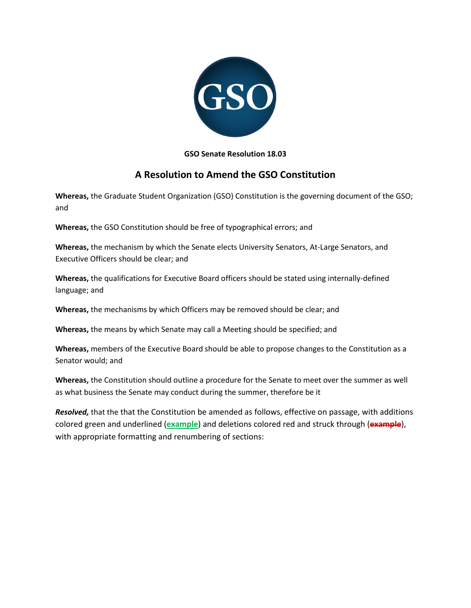

## **GSO Senate Resolution 18.03**

# **A Resolution to Amend the GSO Constitution**

**Whereas,** the Graduate Student Organization (GSO) Constitution is the governing document of the GSO; and

**Whereas,** the GSO Constitution should be free of typographical errors; and

**Whereas,** the mechanism by which the Senate elects University Senators, At-Large Senators, and Executive Officers should be clear; and

**Whereas,** the qualifications for Executive Board officers should be stated using internally-defined language; and

**Whereas,** the mechanisms by which Officers may be removed should be clear; and

**Whereas,** the means by which Senate may call a Meeting should be specified; and

**Whereas,** members of the Executive Board should be able to propose changes to the Constitution as a Senator would; and

**Whereas,** the Constitution should outline a procedure for the Senate to meet over the summer as well as what business the Senate may conduct during the summer, therefore be it

*Resolved,* that the that the Constitution be amended as follows, effective on passage, with additions colored green and underlined (**example**) and deletions colored red and struck through (**example**), with appropriate formatting and renumbering of sections: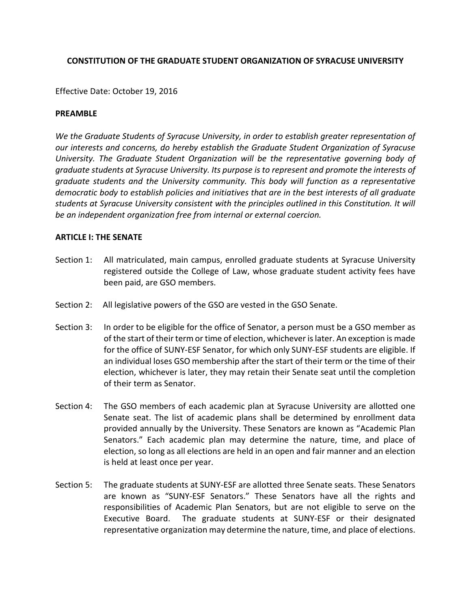## **CONSTITUTION OF THE GRADUATE STUDENT ORGANIZATION OF SYRACUSE UNIVERSITY**

Effective Date: October 19, 2016

### **PREAMBLE**

*We the Graduate Students of Syracuse University, in order to establish greater representation of our interests and concerns, do hereby establish the Graduate Student Organization of Syracuse University. The Graduate Student Organization will be the representative governing body of graduate students at Syracuse University. Its purpose is to represent and promote the interests of graduate students and the University community. This body will function as a representative democratic body to establish policies and initiatives that are in the best interests of all graduate students at Syracuse University consistent with the principles outlined in this Constitution. It will be an independent organization free from internal or external coercion.*

### **ARTICLE I: THE SENATE**

- Section 1: All matriculated, main campus, enrolled graduate students at Syracuse University registered outside the College of Law, whose graduate student activity fees have been paid, are GSO members.
- Section 2: All legislative powers of the GSO are vested in the GSO Senate.
- Section 3: In order to be eligible for the office of Senator, a person must be a GSO member as of the start of their term or time of election, whichever is later. An exception is made for the office of SUNY-ESF Senator, for which only SUNY-ESF students are eligible. If an individual loses GSO membership after the start of their term or the time of their election, whichever is later, they may retain their Senate seat until the completion of their term as Senator.
- Section 4: The GSO members of each academic plan at Syracuse University are allotted one Senate seat. The list of academic plans shall be determined by enrollment data provided annually by the University. These Senators are known as "Academic Plan Senators." Each academic plan may determine the nature, time, and place of election, so long as all elections are held in an open and fair manner and an election is held at least once per year.
- Section 5: The graduate students at SUNY-ESF are allotted three Senate seats. These Senators are known as "SUNY-ESF Senators." These Senators have all the rights and responsibilities of Academic Plan Senators, but are not eligible to serve on the Executive Board. The graduate students at SUNY-ESF or their designated representative organization may determine the nature, time, and place of elections.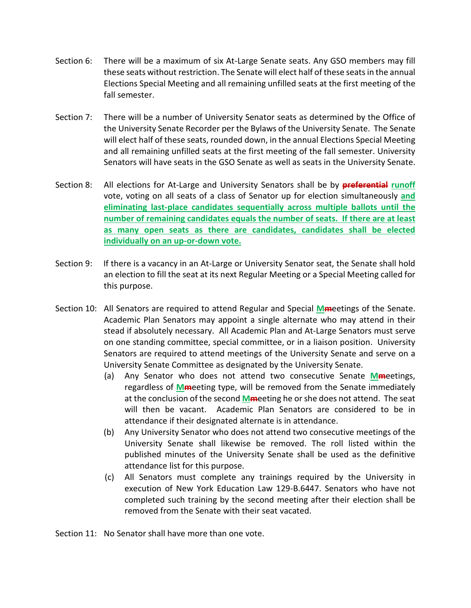- Section 6: There will be a maximum of six At-Large Senate seats. Any GSO members may fill these seats without restriction. The Senate will elect half of these seats in the annual Elections Special Meeting and all remaining unfilled seats at the first meeting of the fall semester.
- Section 7: There will be a number of University Senator seats as determined by the Office of the University Senate Recorder per the Bylaws of the University Senate. The Senate will elect half of these seats, rounded down, in the annual Elections Special Meeting and all remaining unfilled seats at the first meeting of the fall semester. University Senators will have seats in the GSO Senate as well as seats in the University Senate.
- Section 8: All elections for At-Large and University Senators shall be by **preferential runoff** vote, voting on all seats of a class of Senator up for election simultaneously **and eliminating last-place candidates sequentially across multiple ballots until the number of remaining candidates equals the number of seats. If there are at least as many open seats as there are candidates, candidates shall be elected individually on an up-or-down vote.**
- Section 9: If there is a vacancy in an At-Large or University Senator seat, the Senate shall hold an election to fill the seat at its next Regular Meeting or a Special Meeting called for this purpose.
- Section 10: All Senators are required to attend Regular and Special **Mm**eetings of the Senate. Academic Plan Senators may appoint a single alternate who may attend in their stead if absolutely necessary. All Academic Plan and At-Large Senators must serve on one standing committee, special committee, or in a liaison position. University Senators are required to attend meetings of the University Senate and serve on a University Senate Committee as designated by the University Senate.
	- (a) Any Senator who does not attend two consecutive Senate **Mm**eetings, regardless of **Mm**eeting type, will be removed from the Senate immediately at the conclusion of the second **Mm**eeting he or she does not attend. The seat will then be vacant. Academic Plan Senators are considered to be in attendance if their designated alternate is in attendance.
	- (b) Any University Senator who does not attend two consecutive meetings of the University Senate shall likewise be removed. The roll listed within the published minutes of the University Senate shall be used as the definitive attendance list for this purpose.
	- (c) All Senators must complete any trainings required by the University in execution of New York Education Law 129-B.6447. Senators who have not completed such training by the second meeting after their election shall be removed from the Senate with their seat vacated.

Section 11: No Senator shall have more than one vote.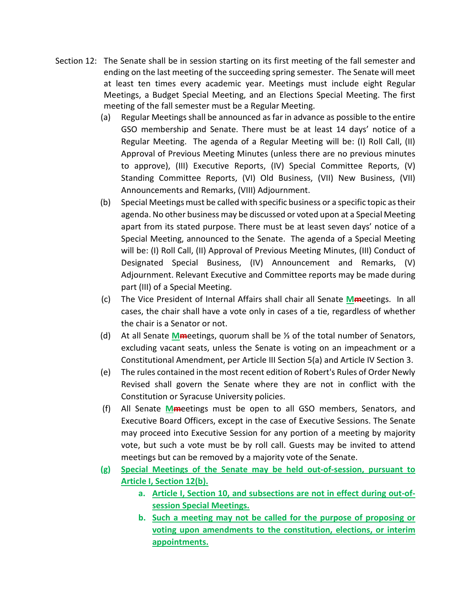- Section 12: The Senate shall be in session starting on its first meeting of the fall semester and ending on the last meeting of the succeeding spring semester. The Senate will meet at least ten times every academic year. Meetings must include eight Regular Meetings, a Budget Special Meeting, and an Elections Special Meeting. The first meeting of the fall semester must be a Regular Meeting.
	- (a) Regular Meetings shall be announced as far in advance as possible to the entire GSO membership and Senate. There must be at least 14 days' notice of a Regular Meeting. The agenda of a Regular Meeting will be: (I) Roll Call, (II) Approval of Previous Meeting Minutes (unless there are no previous minutes to approve), (III) Executive Reports, (IV) Special Committee Reports, (V) Standing Committee Reports, (VI) Old Business, (VII) New Business, (VII) Announcements and Remarks, (VIII) Adjournment.
	- (b) Special Meetings must be called with specific business or a specific topic as their agenda. No other business may be discussed or voted upon at a Special Meeting apart from its stated purpose. There must be at least seven days' notice of a Special Meeting, announced to the Senate. The agenda of a Special Meeting will be: (I) Roll Call, (II) Approval of Previous Meeting Minutes, (III) Conduct of Designated Special Business, (IV) Announcement and Remarks, (V) Adjournment. Relevant Executive and Committee reports may be made during part (III) of a Special Meeting.
	- (c) The Vice President of Internal Affairs shall chair all Senate **Mm**eetings. In all cases, the chair shall have a vote only in cases of a tie, regardless of whether the chair is a Senator or not.
	- (d) At all Senate **Mm**eetings, quorum shall be ⅓ of the total number of Senators, excluding vacant seats, unless the Senate is voting on an impeachment or a Constitutional Amendment, per Article III Section 5(a) and Article IV Section 3.
	- (e) The rules contained in the most recent edition of Robert's Rules of Order Newly Revised shall govern the Senate where they are not in conflict with the Constitution or Syracuse University policies.
	- (f) All Senate **Mm**eetings must be open to all GSO members, Senators, and Executive Board Officers, except in the case of Executive Sessions. The Senate may proceed into Executive Session for any portion of a meeting by majority vote, but such a vote must be by roll call. Guests may be invited to attend meetings but can be removed by a majority vote of the Senate.
	- **(g) Special Meetings of the Senate may be held out-of-session, pursuant to Article I, Section 12(b).**
		- **a. Article I, Section 10, and subsections are not in effect during out-ofsession Special Meetings.**
		- **b. Such a meeting may not be called for the purpose of proposing or voting upon amendments to the constitution, elections, or interim appointments.**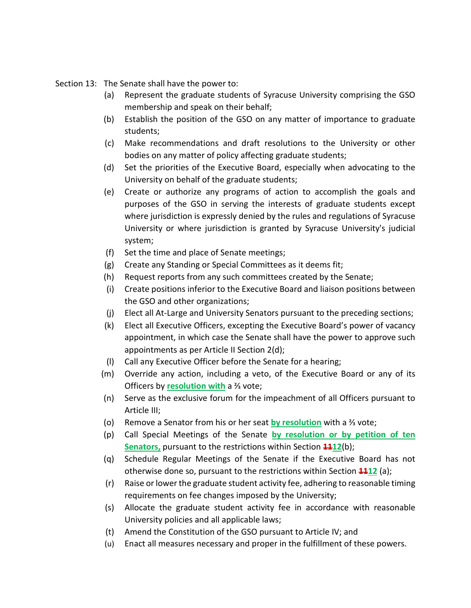Section 13: The Senate shall have the power to:

- (a) Represent the graduate students of Syracuse University comprising the GSO membership and speak on their behalf;
- (b) Establish the position of the GSO on any matter of importance to graduate students;
- (c) Make recommendations and draft resolutions to the University or other bodies on any matter of policy affecting graduate students;
- (d) Set the priorities of the Executive Board, especially when advocating to the University on behalf of the graduate students;
- (e) Create or authorize any programs of action to accomplish the goals and purposes of the GSO in serving the interests of graduate students except where jurisdiction is expressly denied by the rules and regulations of Syracuse University or where jurisdiction is granted by Syracuse University's judicial system;
- (f) Set the time and place of Senate meetings;
- (g) Create any Standing or Special Committees as it deems fit;
- (h) Request reports from any such committees created by the Senate;
- (i) Create positions inferior to the Executive Board and liaison positions between the GSO and other organizations;
- (j) Elect all At-Large and University Senators pursuant to the preceding sections;
- (k) Elect all Executive Officers, excepting the Executive Board's power of vacancy appointment, in which case the Senate shall have the power to approve such appointments as per Article II Section 2(d);
- (l) Call any Executive Officer before the Senate for a hearing;
- (m) Override any action, including a veto, of the Executive Board or any of its Officers by **resolution with** a ⅔ vote;
- (n) Serve as the exclusive forum for the impeachment of all Officers pursuant to Article III;
- (o) Remove a Senator from his or her seat **by resolution** with a ⅔ vote;
- (p) Call Special Meetings of the Senate **by resolution or by petition of ten Senators,** pursuant to the restrictions within Section  $\frac{412}{12}$ (b);
- (q) Schedule Regular Meetings of the Senate if the Executive Board has not otherwise done so, pursuant to the restrictions within Section **1112** (a);
- (r) Raise or lower the graduate student activity fee, adhering to reasonable timing requirements on fee changes imposed by the University;
- (s) Allocate the graduate student activity fee in accordance with reasonable University policies and all applicable laws;
- (t) Amend the Constitution of the GSO pursuant to Article IV; and
- (u) Enact all measures necessary and proper in the fulfillment of these powers.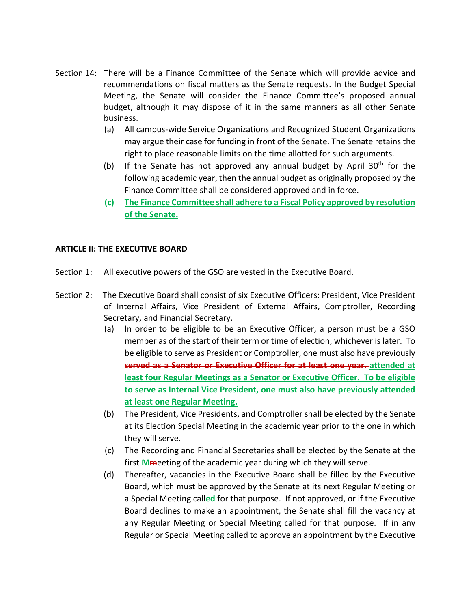- Section 14: There will be a Finance Committee of the Senate which will provide advice and recommendations on fiscal matters as the Senate requests. In the Budget Special Meeting, the Senate will consider the Finance Committee's proposed annual budget, although it may dispose of it in the same manners as all other Senate business.
	- (a) All campus-wide Service Organizations and Recognized Student Organizations may argue their case for funding in front of the Senate. The Senate retains the right to place reasonable limits on the time allotted for such arguments.
	- (b) If the Senate has not approved any annual budget by April 30th for the following academic year, then the annual budget as originally proposed by the Finance Committee shall be considered approved and in force.
	- **(c) The Finance Committee shall adhere to a Fiscal Policy approved by resolution of the Senate.**

## **ARTICLE II: THE EXECUTIVE BOARD**

- Section 1: All executive powers of the GSO are vested in the Executive Board.
- Section 2: The Executive Board shall consist of six Executive Officers: President, Vice President of Internal Affairs, Vice President of External Affairs, Comptroller, Recording Secretary, and Financial Secretary.
	- (a) In order to be eligible to be an Executive Officer, a person must be a GSO member as of the start of their term or time of election, whichever is later. To be eligible to serve as President or Comptroller, one must also have previously **served as a Senator or Executive Officer for at least one year. attended at least four Regular Meetings as a Senator or Executive Officer. To be eligible to serve as Internal Vice President, one must also have previously attended at least one Regular Meeting.**
	- (b) The President, Vice Presidents, and Comptroller shall be elected by the Senate at its Election Special Meeting in the academic year prior to the one in which they will serve.
	- (c) The Recording and Financial Secretaries shall be elected by the Senate at the first **Mm**eeting of the academic year during which they will serve.
	- (d) Thereafter, vacancies in the Executive Board shall be filled by the Executive Board, which must be approved by the Senate at its next Regular Meeting or a Special Meeting call**ed** for that purpose. If not approved, or if the Executive Board declines to make an appointment, the Senate shall fill the vacancy at any Regular Meeting or Special Meeting called for that purpose. If in any Regular or Special Meeting called to approve an appointment by the Executive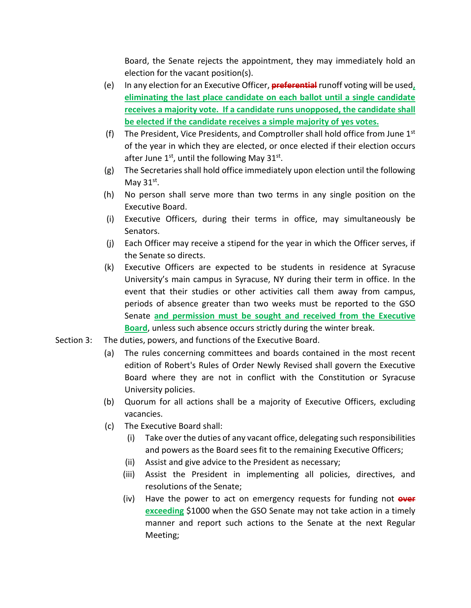Board, the Senate rejects the appointment, they may immediately hold an election for the vacant position(s).

- (e) In any election for an Executive Officer, **preferential** runoff voting will be used**, eliminating the last place candidate on each ballot until a single candidate receives a majority vote. If a candidate runs unopposed, the candidate shall be elected if the candidate receives a simple majority of yes votes.**
- (f) The President, Vice Presidents, and Comptroller shall hold office from June  $1<sup>st</sup>$ of the year in which they are elected, or once elected if their election occurs after June  $1<sup>st</sup>$ , until the following May 31 $<sup>st</sup>$ .</sup>
- (g) The Secretaries shall hold office immediately upon election until the following May  $31^{st}$ .
- (h) No person shall serve more than two terms in any single position on the Executive Board.
- (i) Executive Officers, during their terms in office, may simultaneously be Senators.
- (j) Each Officer may receive a stipend for the year in which the Officer serves, if the Senate so directs.
- (k) Executive Officers are expected to be students in residence at Syracuse University's main campus in Syracuse, NY during their term in office. In the event that their studies or other activities call them away from campus, periods of absence greater than two weeks must be reported to the GSO Senate **and permission must be sought and received from the Executive Board**, unless such absence occurs strictly during the winter break.
- Section 3: The duties, powers, and functions of the Executive Board.
	- (a) The rules concerning committees and boards contained in the most recent edition of Robert's Rules of Order Newly Revised shall govern the Executive Board where they are not in conflict with the Constitution or Syracuse University policies.
	- (b) Quorum for all actions shall be a majority of Executive Officers, excluding vacancies.
	- (c) The Executive Board shall:
		- (i) Take over the duties of any vacant office, delegating such responsibilities and powers as the Board sees fit to the remaining Executive Officers;
		- (ii) Assist and give advice to the President as necessary;
		- (iii) Assist the President in implementing all policies, directives, and resolutions of the Senate;
		- (iv) Have the power to act on emergency requests for funding not **over exceeding** \$1000 when the GSO Senate may not take action in a timely manner and report such actions to the Senate at the next Regular Meeting;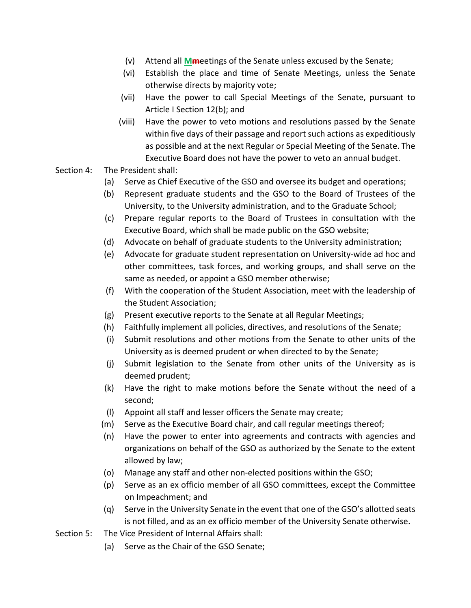- (v) Attend all **Mm**eetings of the Senate unless excused by the Senate;
- (vi) Establish the place and time of Senate Meetings, unless the Senate otherwise directs by majority vote;
- (vii) Have the power to call Special Meetings of the Senate, pursuant to Article I Section 12(b); and
- (viii) Have the power to veto motions and resolutions passed by the Senate within five days of their passage and report such actions as expeditiously as possible and at the next Regular or Special Meeting of the Senate. The Executive Board does not have the power to veto an annual budget.
- Section 4: The President shall:
	- (a) Serve as Chief Executive of the GSO and oversee its budget and operations;
	- (b) Represent graduate students and the GSO to the Board of Trustees of the University, to the University administration, and to the Graduate School;
	- (c) Prepare regular reports to the Board of Trustees in consultation with the Executive Board, which shall be made public on the GSO website;
	- (d) Advocate on behalf of graduate students to the University administration;
	- (e) Advocate for graduate student representation on University-wide ad hoc and other committees, task forces, and working groups, and shall serve on the same as needed, or appoint a GSO member otherwise;
	- (f) With the cooperation of the Student Association, meet with the leadership of the Student Association;
	- (g) Present executive reports to the Senate at all Regular Meetings;
	- (h) Faithfully implement all policies, directives, and resolutions of the Senate;
	- (i) Submit resolutions and other motions from the Senate to other units of the University as is deemed prudent or when directed to by the Senate;
	- (j) Submit legislation to the Senate from other units of the University as is deemed prudent;
	- (k) Have the right to make motions before the Senate without the need of a second;
	- (l) Appoint all staff and lesser officers the Senate may create;
	- (m) Serve as the Executive Board chair, and call regular meetings thereof;
	- (n) Have the power to enter into agreements and contracts with agencies and organizations on behalf of the GSO as authorized by the Senate to the extent allowed by law;
	- (o) Manage any staff and other non-elected positions within the GSO;
	- (p) Serve as an ex officio member of all GSO committees, except the Committee on Impeachment; and
	- (q) Serve in the University Senate in the event that one of the GSO's allotted seats is not filled, and as an ex officio member of the University Senate otherwise.
- Section 5: The Vice President of Internal Affairs shall:
	- (a) Serve as the Chair of the GSO Senate;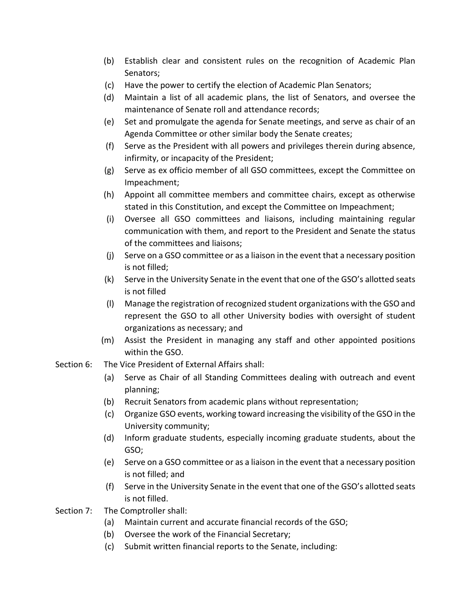- (b) Establish clear and consistent rules on the recognition of Academic Plan Senators;
- (c) Have the power to certify the election of Academic Plan Senators;
- (d) Maintain a list of all academic plans, the list of Senators, and oversee the maintenance of Senate roll and attendance records;
- (e) Set and promulgate the agenda for Senate meetings, and serve as chair of an Agenda Committee or other similar body the Senate creates;
- (f) Serve as the President with all powers and privileges therein during absence, infirmity, or incapacity of the President;
- (g) Serve as ex officio member of all GSO committees, except the Committee on Impeachment;
- (h) Appoint all committee members and committee chairs, except as otherwise stated in this Constitution, and except the Committee on Impeachment;
- (i) Oversee all GSO committees and liaisons, including maintaining regular communication with them, and report to the President and Senate the status of the committees and liaisons;
- (j) Serve on a GSO committee or as a liaison in the event that a necessary position is not filled;
- (k) Serve in the University Senate in the event that one of the GSO's allotted seats is not filled
- (l) Manage the registration of recognized student organizations with the GSO and represent the GSO to all other University bodies with oversight of student organizations as necessary; and
- (m) Assist the President in managing any staff and other appointed positions within the GSO.
- Section 6: The Vice President of External Affairs shall:
	- (a) Serve as Chair of all Standing Committees dealing with outreach and event planning;
	- (b) Recruit Senators from academic plans without representation;
	- (c) Organize GSO events, working toward increasing the visibility of the GSO in the University community;
	- (d) Inform graduate students, especially incoming graduate students, about the GSO;
	- (e) Serve on a GSO committee or as a liaison in the event that a necessary position is not filled; and
	- (f) Serve in the University Senate in the event that one of the GSO's allotted seats is not filled.
- Section 7: The Comptroller shall:
	- (a) Maintain current and accurate financial records of the GSO;
	- (b) Oversee the work of the Financial Secretary;
	- (c) Submit written financial reports to the Senate, including: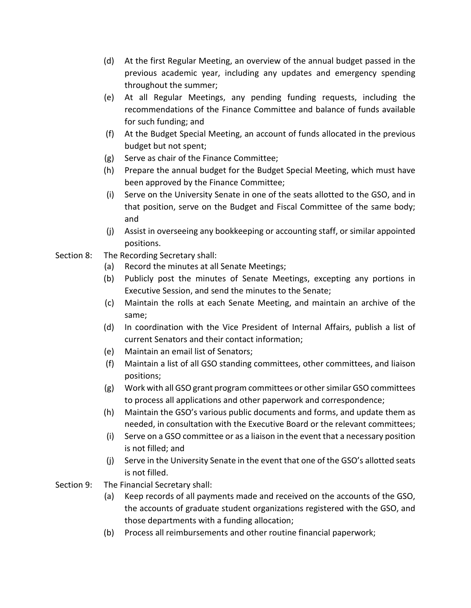- (d) At the first Regular Meeting, an overview of the annual budget passed in the previous academic year, including any updates and emergency spending throughout the summer;
- (e) At all Regular Meetings, any pending funding requests, including the recommendations of the Finance Committee and balance of funds available for such funding; and
- (f) At the Budget Special Meeting, an account of funds allocated in the previous budget but not spent;
- (g) Serve as chair of the Finance Committee;
- (h) Prepare the annual budget for the Budget Special Meeting, which must have been approved by the Finance Committee;
- (i) Serve on the University Senate in one of the seats allotted to the GSO, and in that position, serve on the Budget and Fiscal Committee of the same body; and
- (j) Assist in overseeing any bookkeeping or accounting staff, or similar appointed positions.
- Section 8: The Recording Secretary shall:
	- (a) Record the minutes at all Senate Meetings;
	- (b) Publicly post the minutes of Senate Meetings, excepting any portions in Executive Session, and send the minutes to the Senate;
	- (c) Maintain the rolls at each Senate Meeting, and maintain an archive of the same;
	- (d) In coordination with the Vice President of Internal Affairs, publish a list of current Senators and their contact information;
	- (e) Maintain an email list of Senators;
	- (f) Maintain a list of all GSO standing committees, other committees, and liaison positions;
	- (g) Work with all GSO grant program committees or other similar GSO committees to process all applications and other paperwork and correspondence;
	- (h) Maintain the GSO's various public documents and forms, and update them as needed, in consultation with the Executive Board or the relevant committees;
	- (i) Serve on a GSO committee or as a liaison in the event that a necessary position is not filled; and
	- (j) Serve in the University Senate in the event that one of the GSO's allotted seats is not filled.
- Section 9: The Financial Secretary shall:
	- (a) Keep records of all payments made and received on the accounts of the GSO, the accounts of graduate student organizations registered with the GSO, and those departments with a funding allocation;
	- (b) Process all reimbursements and other routine financial paperwork;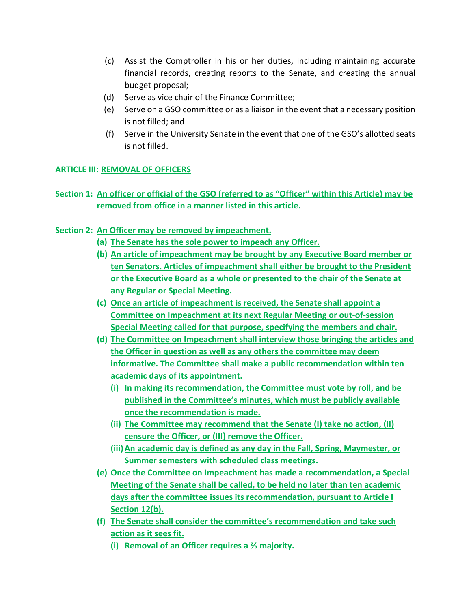- (c) Assist the Comptroller in his or her duties, including maintaining accurate financial records, creating reports to the Senate, and creating the annual budget proposal;
- (d) Serve as vice chair of the Finance Committee;
- (e) Serve on a GSO committee or as a liaison in the event that a necessary position is not filled; and
- (f) Serve in the University Senate in the event that one of the GSO's allotted seats is not filled.

# **ARTICLE III: REMOVAL OF OFFICERS**

- **Section 1: An officer or official of the GSO (referred to as "Officer" within this Article) may be removed from office in a manner listed in this article.**
- **Section 2: An Officer may be removed by impeachment.**
	- **(a) The Senate has the sole power to impeach any Officer.**
	- **(b) An article of impeachment may be brought by any Executive Board member or ten Senators. Articles of impeachment shall either be brought to the President or the Executive Board as a whole or presented to the chair of the Senate at any Regular or Special Meeting.**
	- **(c) Once an article of impeachment is received, the Senate shall appoint a Committee on Impeachment at its next Regular Meeting or out-of-session Special Meeting called for that purpose, specifying the members and chair.**
	- **(d) The Committee on Impeachment shall interview those bringing the articles and the Officer in question as well as any others the committee may deem informative. The Committee shall make a public recommendation within ten academic days of its appointment.**
		- **(i) In making its recommendation, the Committee must vote by roll, and be published in the Committee's minutes, which must be publicly available once the recommendation is made.**
		- **(ii) The Committee may recommend that the Senate (I) take no action, (II) censure the Officer, or (III) remove the Officer.**
		- **(iii)An academic day is defined as any day in the Fall, Spring, Maymester, or Summer semesters with scheduled class meetings.**
	- **(e) Once the Committee on Impeachment has made a recommendation, a Special Meeting of the Senate shall be called, to be held no later than ten academic days after the committee issues its recommendation, pursuant to Article I Section 12(b).**
	- **(f) The Senate shall consider the committee's recommendation and take such action as it sees fit.** 
		- **(i) Removal of an Officer requires a ⅔ majority.**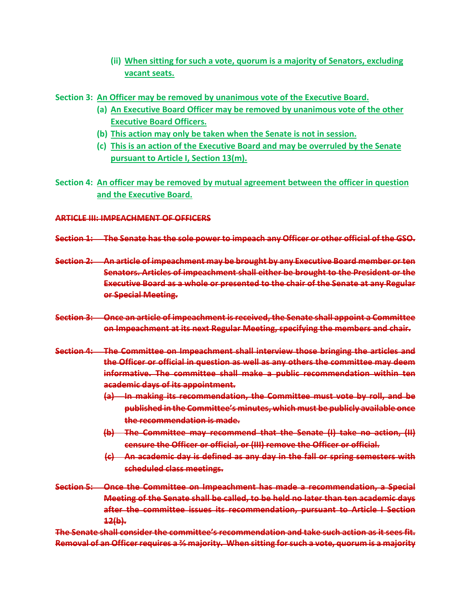- **(ii) When sitting for such a vote, quorum is a majority of Senators, excluding vacant seats.**
- **Section 3: An Officer may be removed by unanimous vote of the Executive Board.**
	- **(a) An Executive Board Officer may be removed by unanimous vote of the other Executive Board Officers.**
	- **(b) This action may only be taken when the Senate is not in session.**
	- **(c) This is an action of the Executive Board and may be overruled by the Senate pursuant to Article I, Section 13(m).**
- **Section 4: An officer may be removed by mutual agreement between the officer in question and the Executive Board.**

#### **ARTICLE III: IMPEACHMENT OF OFFICERS**

- **Section 1: The Senate has the sole power to impeach any Officer or other official of the GSO.**
- **Section 2: An article of impeachment may be brought by any Executive Board member or ten Senators. Articles of impeachment shall either be brought to the President or the Executive Board as a whole or presented to the chair of the Senate at any Regular or Special Meeting.**
- **Section 3: Once an article of impeachment is received, the Senate shall appoint a Committee on Impeachment at its next Regular Meeting, specifying the members and chair.**
- **Section 4: The Committee on Impeachment shall interview those bringing the articles and the Officer or official in question as well as any others the committee may deem informative. The committee shall make a public recommendation within ten academic days of its appointment.**
	- **(a) In making its recommendation, the Committee must vote by roll, and be published in the Committee's minutes, which must be publicly available once the recommendation is made.**
	- **(b) The Committee may recommend that the Senate (I) take no action, (II) censure the Officer or official, or (III) remove the Officer or official.**
	- **(c) An academic day is defined as any day in the fall or spring semesters with scheduled class meetings.**
- **Section 5: Once the Committee on Impeachment has made a recommendation, a Special Meeting of the Senate shall be called, to be held no later than ten academic days after the committee issues its recommendation, pursuant to Article I Section 12(b).**

**The Senate shall consider the committee's recommendation and take such action as it sees fit. Removal of an Officer requires a ⅔ majority. When sitting for such a vote, quorum is a majority**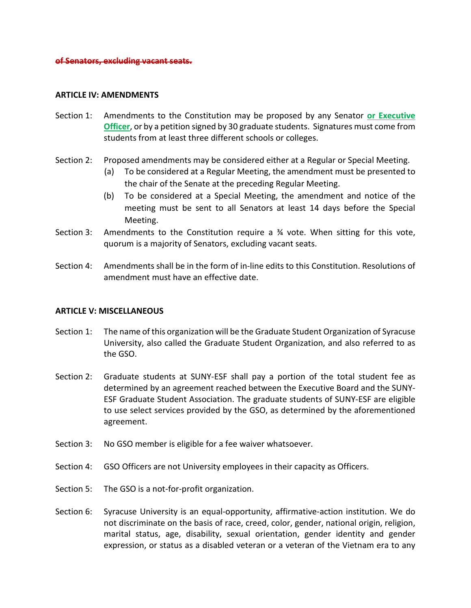#### **ARTICLE IV: AMENDMENTS**

- Section 1: Amendments to the Constitution may be proposed by any Senator **or Executive Officer**, or by a petition signed by 30 graduate students. Signatures must come from students from at least three different schools or colleges.
- Section 2: Proposed amendments may be considered either at a Regular or Special Meeting.
	- (a) To be considered at a Regular Meeting, the amendment must be presented to the chair of the Senate at the preceding Regular Meeting.
	- (b) To be considered at a Special Meeting, the amendment and notice of the meeting must be sent to all Senators at least 14 days before the Special Meeting.
- Section 3: Amendments to the Constitution require a  $\frac{1}{2}$  vote. When sitting for this vote, quorum is a majority of Senators, excluding vacant seats.
- Section 4: Amendments shall be in the form of in-line edits to this Constitution. Resolutions of amendment must have an effective date.

#### **ARTICLE V: MISCELLANEOUS**

- Section 1: The name of this organization will be the Graduate Student Organization of Syracuse University, also called the Graduate Student Organization, and also referred to as the GSO.
- Section 2: Graduate students at SUNY-ESF shall pay a portion of the total student fee as determined by an agreement reached between the Executive Board and the SUNY-ESF Graduate Student Association. The graduate students of SUNY-ESF are eligible to use select services provided by the GSO, as determined by the aforementioned agreement.
- Section 3: No GSO member is eligible for a fee waiver whatsoever.
- Section 4: GSO Officers are not University employees in their capacity as Officers.
- Section 5: The GSO is a not-for-profit organization.
- Section 6: Syracuse University is an equal-opportunity, affirmative-action institution. We do not discriminate on the basis of race, creed, color, gender, national origin, religion, marital status, age, disability, sexual orientation, gender identity and gender expression, or status as a disabled veteran or a veteran of the Vietnam era to any